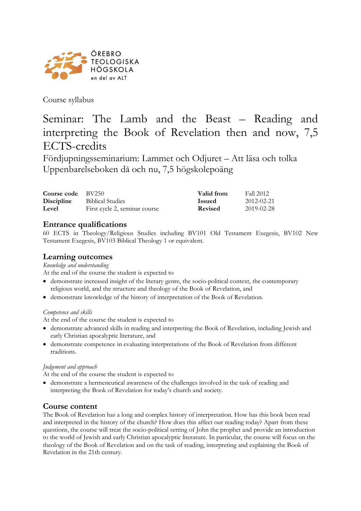

Course syllabus

# Seminar: The Lamb and the Beast – Reading and interpreting the Book of Revelation then and now, 7,5 ECTS-credits

Fördjupningsseminarium: Lammet och Odjuret – Att läsa och tolka Uppenbarelseboken då och nu, 7,5 högskolepoäng

| Course code $BV250$ |                               | Valid from     | Fall 2012  |
|---------------------|-------------------------------|----------------|------------|
| <b>Discipline</b>   | <b>Biblical Studies</b>       | <b>Issued</b>  | 2012-02-21 |
| Level               | First cycle 2, seminar course | <b>Revised</b> | 2019-02-28 |

# **Entrance qualifications**

60 ECTS in Theology/Religious Studies including BV101 Old Testament Exegesis, BV102 New Testament Exegesis, BV103 Biblical Theology 1 or equivalent.

### **Learning outcomes**

*Knowledge and understanding*

At the end of the course the student is expected to

- demonstrate increased insight of the literary genre, the socio-political context, the contemporary religious world, and the structure and theology of the Book of Revelation, and
- demonstrate knowledge of the history of interpretation of the Book of Revelation.

#### *Competence and skills*

At the end of the course the student is expected to

- demonstrate advanced skills in reading and interpreting the Book of Revelation, including Jewish and early Christian apocalyptic literature, and
- demonstrate competence in evaluating interpretations of the Book of Revelation from different traditions.

#### *Judgement and approach*

At the end of the course the student is expected to

• demonstrate a hermeneutical awareness of the challenges involved in the task of reading and interpreting the Book of Revelation for today's church and society.

#### **Course content**

The Book of Revelation has a long and complex history of interpretation. How has this book been read and interpreted in the history of the church? How does this affect our reading today? Apart from these questions, the course will treat the socio-political setting of John the prophet and provide an introduction to the world of Jewish and early Christian apocalyptic literature. In particular, the course will focus on the theology of the Book of Revelation and on the task of reading, interpreting and explaining the Book of Revelation in the 21th century.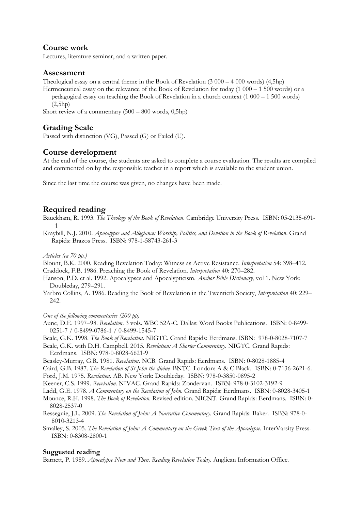# **Course work**

Lectures, literature seminar, and a written paper.

# **Assessment**

Theological essay on a central theme in the Book of Revelation  $(3\ 000 - 4\ 000 \text{ words})$   $(4,5h\text{p})$ 

Hermeneutical essay on the relevance of the Book of Revelation for today (1 000 – 1 500 words) or a pedagogical essay on teaching the Book of Revelation in a church context (1 000 – 1 500 words)  $(2.5h<sub>p</sub>)$ 

Short review of a commentary (500 – 800 words, 0,5hp)

# **Grading Scale**

Passed with distinction (VG), Passed (G) or Failed (U).

# **Course development**

At the end of the course, the students are asked to complete a course evaluation. The results are compiled and commented on by the responsible teacher in a report which is available to the student union.

Since the last time the course was given, no changes have been made.

# **Required reading**

Bauckham, R. 1993*. The Theology of the Book of Revelation*. Cambridge University Press. ISBN: 05-2135-691- 1

Kraybill, N.J. 2010. *Apocalypse and Allegiance: Worship, Politics, and Devotion in the Book of Revelation*. Grand Rapids: Brazos Press. ISBN: 978-1-58743-261-3

#### *Articles (ca 70 pp.)*

Blount, B.K. 2000. Reading Revelation Today: Witness as Active Resistance. *Interpretation* 54: 398–412. Craddock, F.B. 1986. Preaching the Book of Revelation. *Interpretation* 40: 270–282.

- Hanson, P.D. et al. 1992. Apocalypses and Apocalypticism. *Anchor Bible Dictionary*, vol 1. New York: Doubleday, 279–291.
- Yarbro Collins, A. 1986. Reading the Book of Revelation in the Twentieth Society, *Interpretation* 40: 229– 242.

#### *One of the following commentaries (200 pp)*

Aune, D.E. 1997–98. *Revelation*. 3 vols. WBC 52A-C. Dallas: Word Books Publications. ISBN: 0-8499- 0251-7 / 0-8499-0786-1 / 0-8499-1545-7

- Beale, G.K. 1998. *The Book of Revelation*. NIGTC. Grand Rapids: Eerdmans. ISBN: 978-0-8028-7107-7
- Beale, G.K. with D.H. Campbell. 2015. *Revelation: A Shorter Commentary*. NIGTC. Grand Rapids: Eerdmans. ISBN: 978-0-8028-6621-9
- Beasley-Murray, G.R. 1981. *Revelation*. NCB. Grand Rapids: Eerdmans. ISBN: 0-8028-1885-4
- Caird, G.B. 1987. *The Revelation of St John the divine.* BNTC. London: A & C Black. ISBN: 0-7136-2621-6.
- Ford, J.M. 1975. *Revelation.* AB. New York: Doubleday. ISBN: 978-0-3850-0895-2

Keener, C.S. 1999. *Revelation.* NIVAC. Grand Rapids: Zondervan. ISBN: 978-0-3102-3192-9

Ladd, G.E. 1978. *A Commentary on the Revelation of John*. Grand Rapids: Eerdmans. ISBN: 0-8028-3405-1

Mounce, R.H. 1998. *The Book of Revelation*. Revised edition. NICNT. Grand Rapids: Eerdmans. ISBN: 0- 8028-2537-0

- Resseguie, J.L. 2009. *The Revelation of John: A Narrative Commentary.* Grand Rapids: Baker. ISBN: 978-0- 8010-3213-4
- Smalley, S. 2005. *The Revelation of John: A Commentary on the Greek Text of the Apocalypse.* InterVarsity Press. ISBN: 0-8308-2800-1

# **Suggested reading**

Barnett, P. 1989. *Apocalypse Now and Then. Reading Revelation Today*. Anglican Information Office.